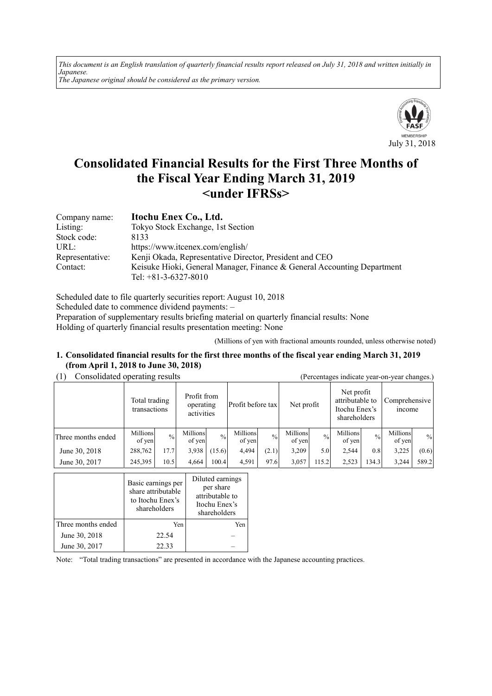*This document is an English translation of quarterly financial results report released on July 31, 2018 and written initially in Japanese. The Japanese original should be considered as the primary version.*



# **Consolidated Financial Results for the First Three Months of the Fiscal Year Ending March 31, 2019 <under IFRSs>**

| Company name:   | Itochu Enex Co., Ltd.                                                   |
|-----------------|-------------------------------------------------------------------------|
| Listing:        | Tokyo Stock Exchange, 1st Section                                       |
| Stock code:     | 8133                                                                    |
| URL:            | https://www.itcenex.com/english/                                        |
| Representative: | Kenji Okada, Representative Director, President and CEO                 |
| Contact:        | Keisuke Hioki, General Manager, Finance & General Accounting Department |
|                 | Tel: $+81-3-6327-8010$                                                  |

Scheduled date to file quarterly securities report: August 10, 2018 Scheduled date to commence dividend payments: – Preparation of supplementary results briefing material on quarterly financial results: None Holding of quarterly financial results presentation meeting: None

(Millions of yen with fractional amounts rounded, unless otherwise noted)

#### **1. Consolidated financial results for the first three months of the fiscal year ending March 31, 2019 (from April 1, 2018 to June 30, 2018)**

(1) Consolidated operating results (Percentages indicate year-on-year changes.)

| .<br>$\alpha$ creening $\alpha$ marcure year on year emanges. |                               |               |                                        |               |                    |               |                    |               |                                                                |               |                         |       |
|---------------------------------------------------------------|-------------------------------|---------------|----------------------------------------|---------------|--------------------|---------------|--------------------|---------------|----------------------------------------------------------------|---------------|-------------------------|-------|
|                                                               | Total trading<br>transactions |               | Profit from<br>operating<br>activities |               | Profit before tax  |               | Net profit         |               | Net profit<br>attributable to<br>Itochu Enex's<br>shareholders |               | Comprehensive<br>income |       |
| Three months ended                                            | Millions<br>of yen            | $\frac{0}{0}$ | Millions<br>of yen                     | $\frac{0}{0}$ | Millions<br>of yen | $\frac{0}{0}$ | Millions<br>of yen | $\frac{0}{0}$ | Millions<br>of yen                                             | $\frac{0}{0}$ | Millions<br>of yen      | $\%$  |
| June 30, 2018                                                 | 288,762                       | 17.7          | 3.938                                  | (15.6)        | 4,494              | (2.1)         | 3,209              | 5.0           | 2,544                                                          | 0.8           | 3,225                   | (0.6) |
| June 30, 2017                                                 | 245,395                       | 10.5          | 4,664                                  | 100.4         | 4,591              | 97.6          | 3,057              | 15.2          | 2,523                                                          | 134.3         | 3,244                   | 589.2 |

|                    | Basic earnings per<br>share attributable<br>to Itochu Enex's<br>shareholders | Diluted earnings<br>per share<br>attributable to<br>Itochu Enex's<br>shareholders |
|--------------------|------------------------------------------------------------------------------|-----------------------------------------------------------------------------------|
| Three months ended | Yen                                                                          | Yen                                                                               |
| June 30, 2018      | 22.54                                                                        |                                                                                   |
| June 30, 2017      | 22.33                                                                        |                                                                                   |

Note: "Total trading transactions" are presented in accordance with the Japanese accounting practices.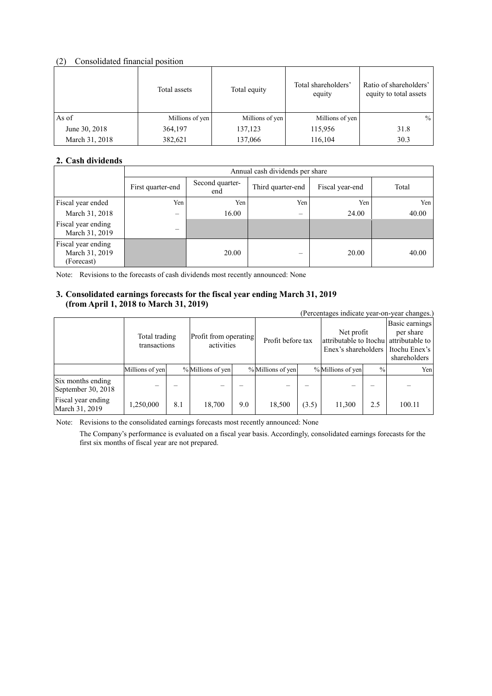# (2) Consolidated financial position

|                | Total assets    | Total equity    | Total shareholders'<br>equity | Ratio of shareholders'<br>equity to total assets |
|----------------|-----------------|-----------------|-------------------------------|--------------------------------------------------|
| As of          | Millions of yen | Millions of yen | Millions of yen               | $\%$                                             |
| June 30, 2018  | 364,197         | 137,123         | 115,956                       | 31.8                                             |
| March 31, 2018 | 382,621         | 137,066         | 116,104                       | 30.3                                             |

### **2. Cash dividends**

|                                                    |                   | Annual cash dividends per share |                          |                 |       |  |  |  |
|----------------------------------------------------|-------------------|---------------------------------|--------------------------|-----------------|-------|--|--|--|
|                                                    | First quarter-end | Second quarter-<br>end          | Third quarter-end        | Fiscal year-end | Total |  |  |  |
| Fiscal year ended                                  | Yen               | Yen                             | Yen                      | Yen             | Yen   |  |  |  |
| March 31, 2018                                     | -                 | 16.00                           | $\overline{\phantom{m}}$ | 24.00           | 40.00 |  |  |  |
| Fiscal year ending<br>March 31, 2019               | —                 |                                 |                          |                 |       |  |  |  |
| Fiscal year ending<br>March 31, 2019<br>(Forecast) |                   | 20.00                           |                          | 20.00           | 40.00 |  |  |  |

Note: Revisions to the forecasts of cash dividends most recently announced: None

### **3. Consolidated earnings forecasts for the fiscal year ending March 31, 2019 (from April 1, 2018 to March 31, 2019)**

| $\mu$ online in the sector to heal on the sector.<br>(Percentages indicate year-on-year changes.) |                               |     |                                     |     |                   |       |                                                                                             |               |                                             |
|---------------------------------------------------------------------------------------------------|-------------------------------|-----|-------------------------------------|-----|-------------------|-------|---------------------------------------------------------------------------------------------|---------------|---------------------------------------------|
|                                                                                                   | Total trading<br>transactions |     | Profit from operating<br>activities |     | Profit before tax |       | Net profit<br>attributable to Itochu attributable to<br>Enex's shareholders I Itochu Enex's |               | Basic earnings<br>per share<br>shareholders |
|                                                                                                   | Millions of yen               |     | % Millions of yen                   |     | % Millions of yen |       | % Millions of yen                                                                           | $\frac{0}{0}$ | Yen                                         |
| Six months ending<br>September 30, 2018                                                           |                               |     |                                     |     |                   |       |                                                                                             |               |                                             |
| Fiscal year ending<br>March 31, 2019                                                              | 1,250,000                     | 8.1 | 18,700                              | 9.0 | 18,500            | (3.5) | 11,300                                                                                      | 2.5           | 100.11                                      |

Note: Revisions to the consolidated earnings forecasts most recently announced: None

The Company's performance is evaluated on a fiscal year basis. Accordingly, consolidated earnings forecasts for the first six months of fiscal year are not prepared.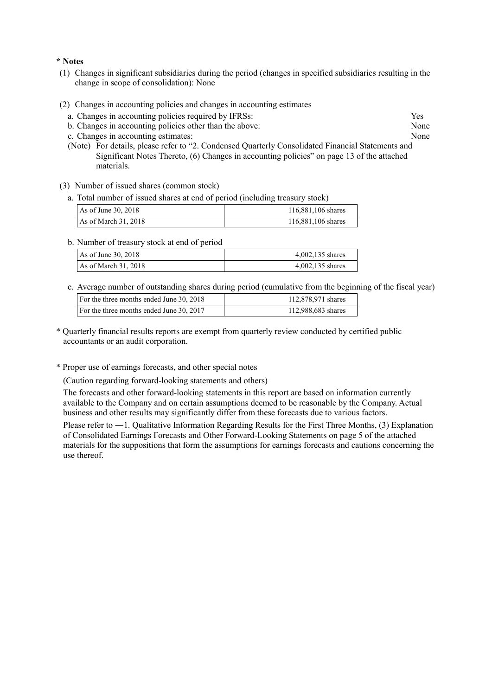#### **\* Notes**

- (1) Changes in significant subsidiaries during the period (changes in specified subsidiaries resulting in the change in scope of consolidation): None
- (2) Changes in accounting policies and changes in accounting estimates
	- a. Changes in accounting policies required by IFRSs: Yes
	- b. Changes in accounting policies other than the above: None
	- c. Changes in accounting estimates: None
	- (Note) For details, please refer to "2. Condensed Quarterly Consolidated Financial Statements and Significant Notes Thereto, (6) Changes in accounting policies" on page 13 of the attached materials.
- (3) Number of issued shares (common stock)
	- a. Total number of issued shares at end of period (including treasury stock)

| As of June 30, 2018  | 116,881,106 shares |
|----------------------|--------------------|
| As of March 31, 2018 | 116,881,106 shares |

b. Number of treasury stock at end of period

| As of June 30, 2018  | 4,002,135 shares |
|----------------------|------------------|
| As of March 31, 2018 | 4,002,135 shares |

c. Average number of outstanding shares during period (cumulative from the beginning of the fiscal year)

| For the three months ended June 30, 2018 | 112,878,971 shares |
|------------------------------------------|--------------------|
| For the three months ended June 30, 2017 | 112,988,683 shares |
|                                          |                    |

- \* Quarterly financial results reports are exempt from quarterly review conducted by certified public accountants or an audit corporation.
- \* Proper use of earnings forecasts, and other special notes

(Caution regarding forward-looking statements and others)

The forecasts and other forward-looking statements in this report are based on information currently available to the Company and on certain assumptions deemed to be reasonable by the Company. Actual business and other results may significantly differ from these forecasts due to various factors.

Please refer to ―1. Qualitative Information Regarding Results for the First Three Months, (3) Explanation of Consolidated Earnings Forecasts and Other Forward-Looking Statements on page 5 of the attached materials for the suppositions that form the assumptions for earnings forecasts and cautions concerning the use thereof.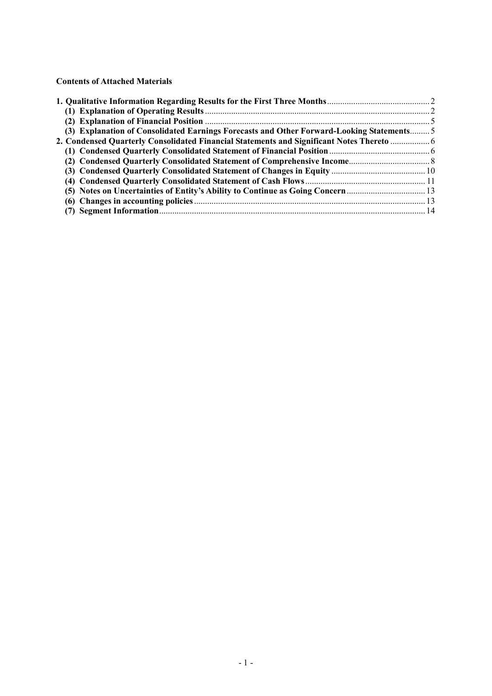**Contents of Attached Materials** 

| (3) Explanation of Consolidated Earnings Forecasts and Other Forward-Looking Statements 5 |  |
|-------------------------------------------------------------------------------------------|--|
| 2. Condensed Quarterly Consolidated Financial Statements and Significant Notes Thereto  6 |  |
|                                                                                           |  |
|                                                                                           |  |
|                                                                                           |  |
|                                                                                           |  |
| (5) Notes on Uncertainties of Entity's Ability to Continue as Going Concern               |  |
|                                                                                           |  |
|                                                                                           |  |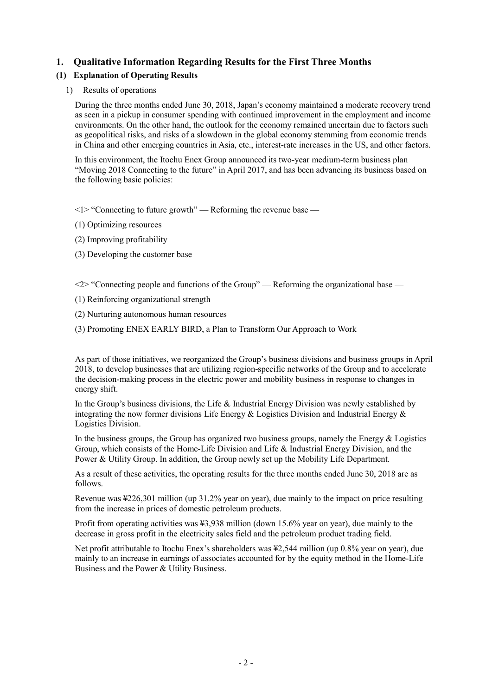# **1. Qualitative Information Regarding Results for the First Three Months**

# **(1) Explanation of Operating Results**

1) Results of operations

During the three months ended June 30, 2018, Japan's economy maintained a moderate recovery trend as seen in a pickup in consumer spending with continued improvement in the employment and income environments. On the other hand, the outlook for the economy remained uncertain due to factors such as geopolitical risks, and risks of a slowdown in the global economy stemming from economic trends in China and other emerging countries in Asia, etc., interest-rate increases in the US, and other factors.

In this environment, the Itochu Enex Group announced its two-year medium-term business plan "Moving 2018 Connecting to the future" in April 2017, and has been advancing its business based on the following basic policies:

 $\leq$  1> "Connecting to future growth" — Reforming the revenue base —

- (1) Optimizing resources
- (2) Improving profitability
- (3) Developing the customer base

 $\langle 2 \rangle$  "Connecting people and functions of the Group" — Reforming the organizational base —

- (1) Reinforcing organizational strength
- (2) Nurturing autonomous human resources

(3) Promoting ENEX EARLY BIRD, a Plan to Transform Our Approach to Work

As part of those initiatives, we reorganized the Group's business divisions and business groups in April 2018, to develop businesses that are utilizing region-specific networks of the Group and to accelerate the decision-making process in the electric power and mobility business in response to changes in energy shift.

In the Group's business divisions, the Life  $\&$  Industrial Energy Division was newly established by integrating the now former divisions Life Energy  $\&$  Logistics Division and Industrial Energy  $\&$ Logistics Division.

In the business groups, the Group has organized two business groups, namely the Energy  $\&$  Logistics Group, which consists of the Home-Life Division and Life & Industrial Energy Division, and the Power & Utility Group. In addition, the Group newly set up the Mobility Life Department.

As a result of these activities, the operating results for the three months ended June 30, 2018 are as follows.

Revenue was ¥226,301 million (up 31.2% year on year), due mainly to the impact on price resulting from the increase in prices of domestic petroleum products.

Profit from operating activities was ¥3,938 million (down 15.6% year on year), due mainly to the decrease in gross profit in the electricity sales field and the petroleum product trading field.

Net profit attributable to Itochu Enex's shareholders was ¥2,544 million (up 0.8% year on year), due mainly to an increase in earnings of associates accounted for by the equity method in the Home-Life Business and the Power & Utility Business.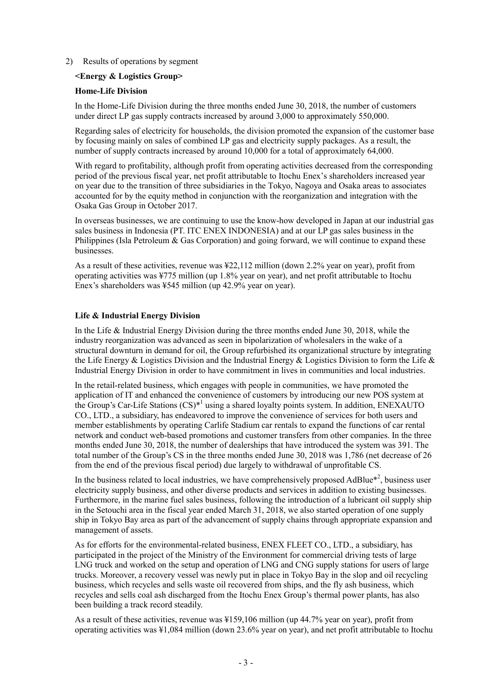#### 2) Results of operations by segment

#### **<Energy & Logistics Group>**

#### **Home-Life Division**

In the Home-Life Division during the three months ended June 30, 2018, the number of customers under direct LP gas supply contracts increased by around 3,000 to approximately 550,000.

Regarding sales of electricity for households, the division promoted the expansion of the customer base by focusing mainly on sales of combined LP gas and electricity supply packages. As a result, the number of supply contracts increased by around 10,000 for a total of approximately 64,000.

With regard to profitability, although profit from operating activities decreased from the corresponding period of the previous fiscal year, net profit attributable to Itochu Enex's shareholders increased year on year due to the transition of three subsidiaries in the Tokyo, Nagoya and Osaka areas to associates accounted for by the equity method in conjunction with the reorganization and integration with the Osaka Gas Group in October 2017.

In overseas businesses, we are continuing to use the know-how developed in Japan at our industrial gas sales business in Indonesia (PT. ITC ENEX INDONESIA) and at our LP gas sales business in the Philippines (Isla Petroleum  $\&$  Gas Corporation) and going forward, we will continue to expand these businesses.

As a result of these activities, revenue was ¥22,112 million (down 2.2% year on year), profit from operating activities was ¥775 million (up 1.8% year on year), and net profit attributable to Itochu Enex's shareholders was ¥545 million (up 42.9% year on year).

#### **Life & Industrial Energy Division**

In the Life & Industrial Energy Division during the three months ended June 30, 2018, while the industry reorganization was advanced as seen in bipolarization of wholesalers in the wake of a structural downturn in demand for oil, the Group refurbished its organizational structure by integrating the Life Energy & Logistics Division and the Industrial Energy & Logistics Division to form the Life & Industrial Energy Division in order to have commitment in lives in communities and local industries.

In the retail-related business, which engages with people in communities, we have promoted the application of IT and enhanced the convenience of customers by introducing our new POS system at the Group's Car-Life Stations (CS)<sup>\*1</sup> using a shared loyalty points system. In addition, ENEXAUTO CO., LTD., a subsidiary, has endeavored to improve the convenience of services for both users and member establishments by operating Carlife Stadium car rentals to expand the functions of car rental network and conduct web-based promotions and customer transfers from other companies. In the three months ended June 30, 2018, the number of dealerships that have introduced the system was 391. The total number of the Group's CS in the three months ended June 30, 2018 was 1,786 (net decrease of 26 from the end of the previous fiscal period) due largely to withdrawal of unprofitable CS.

In the business related to local industries, we have comprehensively proposed AdBlue $*^2$ , business user electricity supply business, and other diverse products and services in addition to existing businesses. Furthermore, in the marine fuel sales business, following the introduction of a lubricant oil supply ship in the Setouchi area in the fiscal year ended March 31, 2018, we also started operation of one supply ship in Tokyo Bay area as part of the advancement of supply chains through appropriate expansion and management of assets.

As for efforts for the environmental-related business, ENEX FLEET CO., LTD., a subsidiary, has participated in the project of the Ministry of the Environment for commercial driving tests of large LNG truck and worked on the setup and operation of LNG and CNG supply stations for users of large trucks. Moreover, a recovery vessel was newly put in place in Tokyo Bay in the slop and oil recycling business, which recycles and sells waste oil recovered from ships, and the fly ash business, which recycles and sells coal ash discharged from the Itochu Enex Group's thermal power plants, has also been building a track record steadily.

As a result of these activities, revenue was ¥159,106 million (up 44.7% year on year), profit from operating activities was ¥1,084 million (down 23.6% year on year), and net profit attributable to Itochu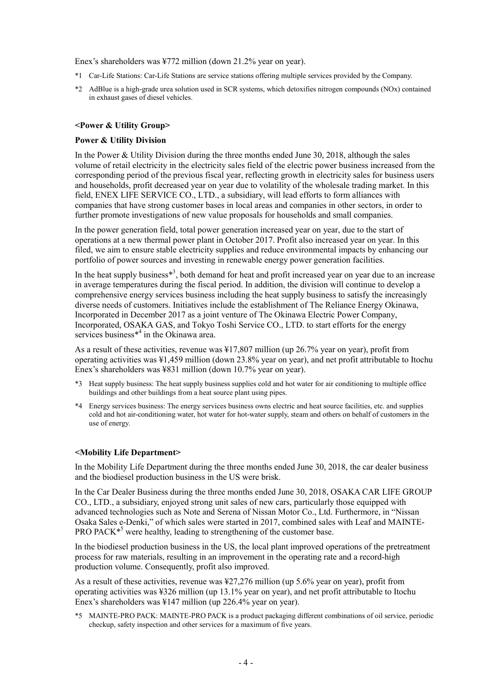Enex's shareholders was ¥772 million (down 21.2% year on year).

- \*1 Car-Life Stations: Car-Life Stations are service stations offering multiple services provided by the Company.
- \*2 AdBlue is a high-grade urea solution used in SCR systems, which detoxifies nitrogen compounds (NOx) contained in exhaust gases of diesel vehicles.

#### **<Power & Utility Group>**

#### **Power & Utility Division**

In the Power & Utility Division during the three months ended June 30, 2018, although the sales volume of retail electricity in the electricity sales field of the electric power business increased from the corresponding period of the previous fiscal year, reflecting growth in electricity sales for business users and households, profit decreased year on year due to volatility of the wholesale trading market. In this field, ENEX LIFE SERVICE CO., LTD., a subsidiary, will lead efforts to form alliances with companies that have strong customer bases in local areas and companies in other sectors, in order to further promote investigations of new value proposals for households and small companies.

In the power generation field, total power generation increased year on year, due to the start of operations at a new thermal power plant in October 2017. Profit also increased year on year. In this filed, we aim to ensure stable electricity supplies and reduce environmental impacts by enhancing our portfolio of power sources and investing in renewable energy power generation facilities.

In the heat supply business $*$ <sup>3</sup>, both demand for heat and profit increased year on year due to an increase in average temperatures during the fiscal period. In addition, the division will continue to develop a comprehensive energy services business including the heat supply business to satisfy the increasingly diverse needs of customers. Initiatives include the establishment of The Reliance Energy Okinawa, Incorporated in December 2017 as a joint venture of The Okinawa Electric Power Company, Incorporated, OSAKA GAS, and Tokyo Toshi Service CO., LTD. to start efforts for the energy services business<sup>\*4</sup> in the Okinawa area.

As a result of these activities, revenue was ¥17,807 million (up 26.7% year on year), profit from operating activities was ¥1,459 million (down 23.8% year on year), and net profit attributable to Itochu Enex's shareholders was ¥831 million (down 10.7% year on year).

- \*3 Heat supply business: The heat supply business supplies cold and hot water for air conditioning to multiple office buildings and other buildings from a heat source plant using pipes.
- \*4 Energy services business: The energy services business owns electric and heat source facilities, etc. and supplies cold and hot air-conditioning water, hot water for hot-water supply, steam and others on behalf of customers in the use of energy.

#### **<Mobility Life Department>**

In the Mobility Life Department during the three months ended June 30, 2018, the car dealer business and the biodiesel production business in the US were brisk.

In the Car Dealer Business during the three months ended June 30, 2018, OSAKA CAR LIFE GROUP CO., LTD., a subsidiary, enjoyed strong unit sales of new cars, particularly those equipped with advanced technologies such as Note and Serena of Nissan Motor Co., Ltd. Furthermore, in "Nissan Osaka Sales e-Denki," of which sales were started in 2017, combined sales with Leaf and MAINTE-PRO PACK<sup>\*5</sup> were healthy, leading to strengthening of the customer base.

In the biodiesel production business in the US, the local plant improved operations of the pretreatment process for raw materials, resulting in an improvement in the operating rate and a record-high production volume. Consequently, profit also improved.

As a result of these activities, revenue was ¥27,276 million (up 5.6% year on year), profit from operating activities was ¥326 million (up 13.1% year on year), and net profit attributable to Itochu Enex's shareholders was ¥147 million (up 226.4% year on year).

\*5 MAINTE-PRO PACK: MAINTE-PRO PACK is a product packaging different combinations of oil service, periodic checkup, safety inspection and other services for a maximum of five years.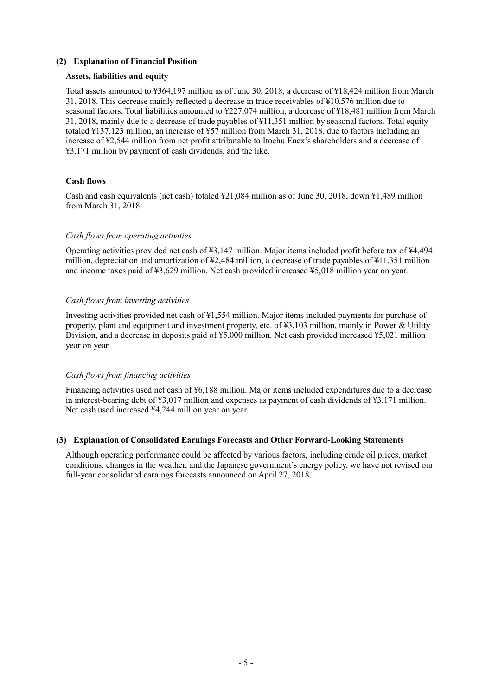#### **(2) Explanation of Financial Position**

#### **Assets, liabilities and equity**

Total assets amounted to ¥364,197 million as of June 30, 2018, a decrease of ¥18,424 million from March 31, 2018. This decrease mainly reflected a decrease in trade receivables of ¥10,576 million due to seasonal factors. Total liabilities amounted to ¥227,074 million, a decrease of ¥18,481 million from March 31, 2018, mainly due to a decrease of trade payables of ¥11,351 million by seasonal factors. Total equity totaled ¥137,123 million, an increase of ¥57 million from March 31, 2018, due to factors including an increase of ¥2,544 million from net profit attributable to Itochu Enex's shareholders and a decrease of ¥3,171 million by payment of cash dividends, and the like.

#### **Cash flows**

Cash and cash equivalents (net cash) totaled ¥21,084 million as of June 30, 2018, down ¥1,489 million from March 31, 2018.

#### *Cash flows from operating activities*

Operating activities provided net cash of ¥3,147 million. Major items included profit before tax of ¥4,494 million, depreciation and amortization of ¥2,484 million, a decrease of trade payables of ¥11,351 million and income taxes paid of ¥3,629 million. Net cash provided increased ¥5,018 million year on year.

#### *Cash flows from investing activities*

Investing activities provided net cash of ¥1,554 million. Major items included payments for purchase of property, plant and equipment and investment property, etc. of ¥3,103 million, mainly in Power & Utility Division, and a decrease in deposits paid of ¥5,000 million. Net cash provided increased ¥5,021 million year on year.

#### *Cash flows from financing activities*

Financing activities used net cash of ¥6,188 million. Major items included expenditures due to a decrease in interest-bearing debt of ¥3,017 million and expenses as payment of cash dividends of ¥3,171 million. Net cash used increased ¥4,244 million year on year.

#### **(3) Explanation of Consolidated Earnings Forecasts and Other Forward-Looking Statements**

Although operating performance could be affected by various factors, including crude oil prices, market conditions, changes in the weather, and the Japanese government's energy policy, we have not revised our full-year consolidated earnings forecasts announced on April 27, 2018.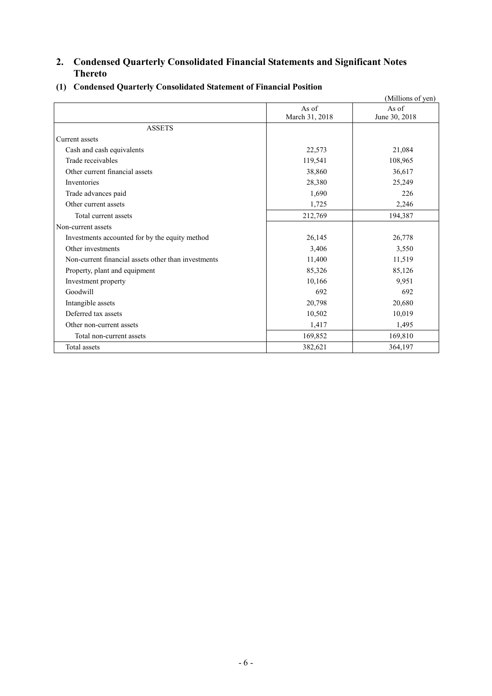# **2. Condensed Quarterly Consolidated Financial Statements and Significant Notes Thereto**

|                                                     |                         | (Millions of yen)      |
|-----------------------------------------------------|-------------------------|------------------------|
|                                                     | As of<br>March 31, 2018 | As of<br>June 30, 2018 |
| <b>ASSETS</b>                                       |                         |                        |
| Current assets                                      |                         |                        |
| Cash and cash equivalents                           | 22,573                  | 21,084                 |
| Trade receivables                                   | 119,541                 | 108,965                |
| Other current financial assets                      | 38,860                  | 36,617                 |
| Inventories                                         | 28,380                  | 25,249                 |
| Trade advances paid                                 | 1,690                   | 226                    |
| Other current assets                                | 1,725                   | 2,246                  |
| Total current assets                                | 212,769                 | 194,387                |
| Non-current assets                                  |                         |                        |
| Investments accounted for by the equity method      | 26,145                  | 26,778                 |
| Other investments                                   | 3,406                   | 3,550                  |
| Non-current financial assets other than investments | 11,400                  | 11,519                 |
| Property, plant and equipment                       | 85,326                  | 85,126                 |
| Investment property                                 | 10,166                  | 9,951                  |
| Goodwill                                            | 692                     | 692                    |
| Intangible assets                                   | 20,798                  | 20,680                 |
| Deferred tax assets                                 | 10,502                  | 10,019                 |
| Other non-current assets                            | 1,417                   | 1,495                  |
| Total non-current assets                            | 169,852                 | 169,810                |
| Total assets                                        | 382,621                 | 364,197                |

# **(1) Condensed Quarterly Consolidated Statement of Financial Position**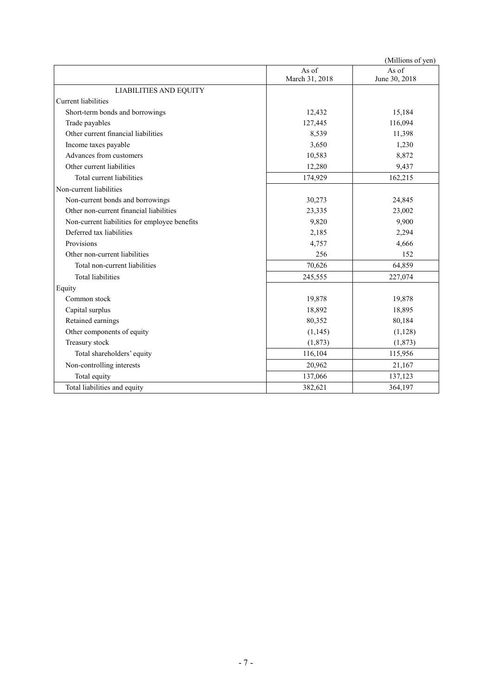|                                               |                | (Millions of yen) |
|-----------------------------------------------|----------------|-------------------|
|                                               | As of          | As of             |
|                                               | March 31, 2018 | June 30, 2018     |
| <b>LIABILITIES AND EQUITY</b>                 |                |                   |
| <b>Current</b> liabilities                    |                |                   |
| Short-term bonds and borrowings               | 12,432         | 15,184            |
| Trade payables                                | 127,445        | 116,094           |
| Other current financial liabilities           | 8,539          | 11,398            |
| Income taxes payable                          | 3,650          | 1,230             |
| Advances from customers                       | 10,583         | 8,872             |
| Other current liabilities                     | 12,280         | 9,437             |
| Total current liabilities                     | 174,929        | 162,215           |
| Non-current liabilities                       |                |                   |
| Non-current bonds and borrowings              | 30,273         | 24,845            |
| Other non-current financial liabilities       | 23,335         | 23,002            |
| Non-current liabilities for employee benefits | 9,820          | 9,900             |
| Deferred tax liabilities                      | 2,185          | 2,294             |
| Provisions                                    | 4,757          | 4,666             |
| Other non-current liabilities                 | 256            | 152               |
| Total non-current liabilities                 | 70,626         | 64,859            |
| <b>Total liabilities</b>                      | 245,555        | 227,074           |
| Equity                                        |                |                   |
| Common stock                                  | 19,878         | 19,878            |
| Capital surplus                               | 18,892         | 18,895            |
| Retained earnings                             | 80,352         | 80,184            |
| Other components of equity                    | (1, 145)       | (1,128)           |
| Treasury stock                                | (1, 873)       | (1, 873)          |
| Total shareholders' equity                    | 116,104        | 115,956           |
| Non-controlling interests                     | 20,962         | 21,167            |
| Total equity                                  | 137,066        | 137,123           |
| Total liabilities and equity                  | 382,621        | 364,197           |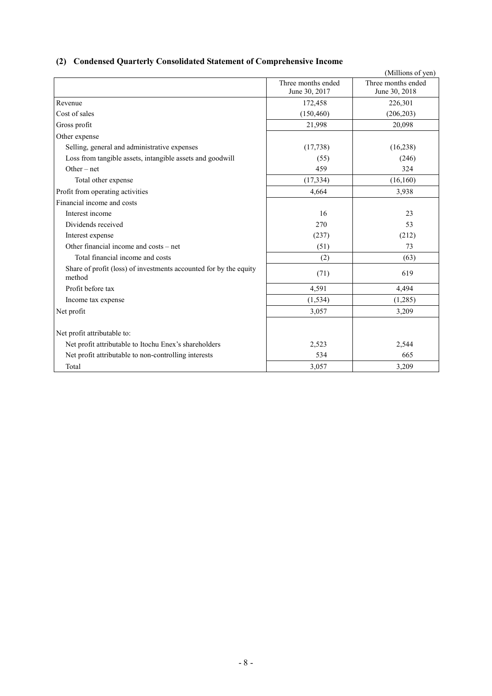# **(2) Condensed Quarterly Consolidated Statement of Comprehensive Income**

|                                                                             |                                     | (Millions of yen)                   |
|-----------------------------------------------------------------------------|-------------------------------------|-------------------------------------|
|                                                                             | Three months ended<br>June 30, 2017 | Three months ended<br>June 30, 2018 |
| Revenue                                                                     |                                     |                                     |
|                                                                             | 172,458                             | 226,301                             |
| Cost of sales                                                               | (150, 460)                          | (206, 203)                          |
| Gross profit                                                                | 21,998                              | 20,098                              |
| Other expense                                                               |                                     |                                     |
| Selling, general and administrative expenses                                | (17, 738)                           | (16, 238)                           |
| Loss from tangible assets, intangible assets and goodwill                   | (55)                                | (246)                               |
| Other $-$ net                                                               | 459                                 | 324                                 |
| Total other expense                                                         | (17, 334)                           | (16,160)                            |
| Profit from operating activities                                            | 4,664                               | 3,938                               |
| Financial income and costs                                                  |                                     |                                     |
| Interest income                                                             | 16                                  | 23                                  |
| Dividends received                                                          | 270                                 | 53                                  |
| Interest expense                                                            | (237)                               | (212)                               |
| Other financial income and costs – net                                      | (51)                                | 73                                  |
| Total financial income and costs                                            | (2)                                 | (63)                                |
| Share of profit (loss) of investments accounted for by the equity<br>method | (71)                                | 619                                 |
| Profit before tax                                                           | 4,591                               | 4,494                               |
| Income tax expense                                                          | (1, 534)                            | (1,285)                             |
| Net profit                                                                  | 3,057                               | 3,209                               |
| Net profit attributable to:                                                 |                                     |                                     |
| Net profit attributable to Itochu Enex's shareholders                       | 2,523                               | 2,544                               |
| Net profit attributable to non-controlling interests                        | 534                                 | 665                                 |
| Total                                                                       | 3,057                               | 3,209                               |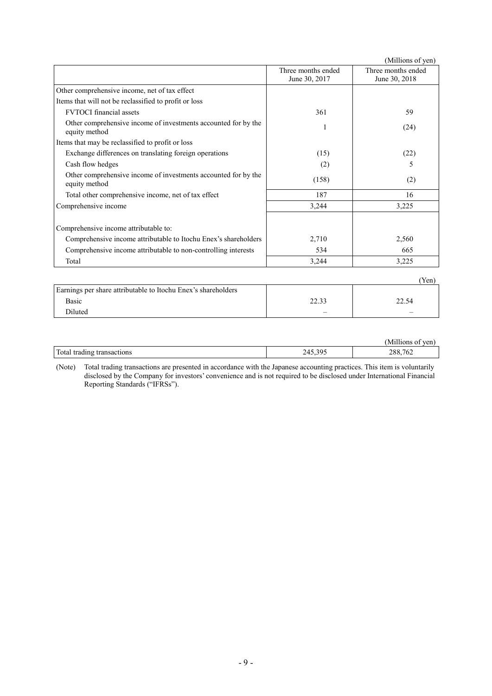|                                                                                 |                                     | (Millions of yen)                   |
|---------------------------------------------------------------------------------|-------------------------------------|-------------------------------------|
|                                                                                 | Three months ended<br>June 30, 2017 | Three months ended<br>June 30, 2018 |
| Other comprehensive income, net of tax effect                                   |                                     |                                     |
| Items that will not be reclassified to profit or loss                           |                                     |                                     |
| <b>FVTOCI</b> financial assets                                                  | 361                                 | 59                                  |
| Other comprehensive income of investments accounted for by the<br>equity method |                                     | (24)                                |
| Items that may be reclassified to profit or loss                                |                                     |                                     |
| Exchange differences on translating foreign operations                          | (15)                                | (22)                                |
| Cash flow hedges                                                                | (2)                                 | 5                                   |
| Other comprehensive income of investments accounted for by the<br>equity method | (158)                               | (2)                                 |
| Total other comprehensive income, net of tax effect                             | 187                                 | 16                                  |
| Comprehensive income                                                            | 3,244                               | 3,225                               |
| Comprehensive income attributable to:                                           |                                     |                                     |
| Comprehensive income attributable to Itochu Enex's shareholders                 | 2,710                               | 2,560                               |
| Comprehensive income attributable to non-controlling interests                  | 534                                 | 665                                 |
| Total                                                                           | 3,244                               | 3,225                               |
|                                                                                 |                                     | (Yen)                               |
| Earnings per share attributable to Itochu Enex's shareholders                   |                                     |                                     |

| Earnings per share attributable to Itochu Enex's shareholders |                          |       |
|---------------------------------------------------------------|--------------------------|-------|
| Basic                                                         | วว วว                    | 22.54 |
| Diluted                                                       | $\overline{\phantom{a}}$ |       |
|                                                               |                          |       |

|                                       |                             | -----<br>ven<br>M1I<br>'lıons             |
|---------------------------------------|-----------------------------|-------------------------------------------|
| Total<br>trading<br>transactions<br>. | 305<br>$\sqrt{ }$<br>$\sim$ | $\overline{a}$<br>288,<br>10 <sub>4</sub> |

(Note) Total trading transactions are presented in accordance with the Japanese accounting practices. This item is voluntarily disclosed by the Company for investors' convenience and is not required to be disclosed under International Financial Reporting Standards ("IFRSs").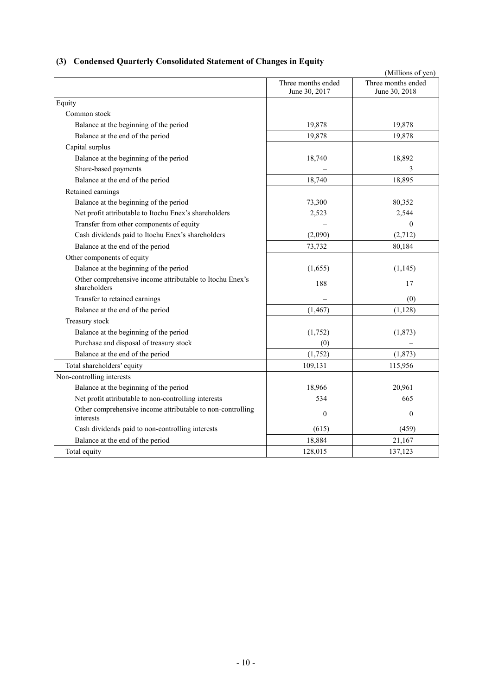# **(3) Condensed Quarterly Consolidated Statement of Changes in Equity**

| (Millions of yen)                                                        |                                     |                                     |  |  |  |  |
|--------------------------------------------------------------------------|-------------------------------------|-------------------------------------|--|--|--|--|
|                                                                          | Three months ended<br>June 30, 2017 | Three months ended<br>June 30, 2018 |  |  |  |  |
| Equity                                                                   |                                     |                                     |  |  |  |  |
| Common stock                                                             |                                     |                                     |  |  |  |  |
| Balance at the beginning of the period                                   | 19,878                              | 19,878                              |  |  |  |  |
| Balance at the end of the period                                         | 19,878                              | 19,878                              |  |  |  |  |
| Capital surplus                                                          |                                     |                                     |  |  |  |  |
| Balance at the beginning of the period                                   | 18,740                              | 18,892                              |  |  |  |  |
| Share-based payments                                                     |                                     | 3                                   |  |  |  |  |
| Balance at the end of the period                                         | 18,740                              | 18,895                              |  |  |  |  |
| Retained earnings                                                        |                                     |                                     |  |  |  |  |
| Balance at the beginning of the period                                   | 73,300                              | 80,352                              |  |  |  |  |
| Net profit attributable to Itochu Enex's shareholders                    | 2,523                               | 2,544                               |  |  |  |  |
| Transfer from other components of equity                                 |                                     | $\Omega$                            |  |  |  |  |
| Cash dividends paid to Itochu Enex's shareholders                        | (2,090)                             | (2,712)                             |  |  |  |  |
| Balance at the end of the period                                         | 73,732                              | 80,184                              |  |  |  |  |
| Other components of equity                                               |                                     |                                     |  |  |  |  |
| Balance at the beginning of the period                                   | (1,655)                             | (1,145)                             |  |  |  |  |
| Other comprehensive income attributable to Itochu Enex's<br>shareholders | 188                                 | 17                                  |  |  |  |  |
| Transfer to retained earnings                                            |                                     | (0)                                 |  |  |  |  |
| Balance at the end of the period                                         | (1, 467)                            | (1, 128)                            |  |  |  |  |
| Treasury stock                                                           |                                     |                                     |  |  |  |  |
| Balance at the beginning of the period                                   | (1,752)                             | (1, 873)                            |  |  |  |  |
| Purchase and disposal of treasury stock                                  | (0)                                 |                                     |  |  |  |  |
| Balance at the end of the period                                         | (1,752)                             | (1, 873)                            |  |  |  |  |
| Total shareholders' equity                                               | 109,131                             | 115,956                             |  |  |  |  |
| Non-controlling interests                                                |                                     |                                     |  |  |  |  |
| Balance at the beginning of the period                                   | 18,966                              | 20,961                              |  |  |  |  |
| Net profit attributable to non-controlling interests                     | 534                                 | 665                                 |  |  |  |  |
| Other comprehensive income attributable to non-controlling<br>interests  | $\mathbf{0}$                        | $\theta$                            |  |  |  |  |
| Cash dividends paid to non-controlling interests                         | (615)                               | (459)                               |  |  |  |  |
| Balance at the end of the period                                         | 18,884                              | 21,167                              |  |  |  |  |
| Total equity                                                             | 128,015                             | 137,123                             |  |  |  |  |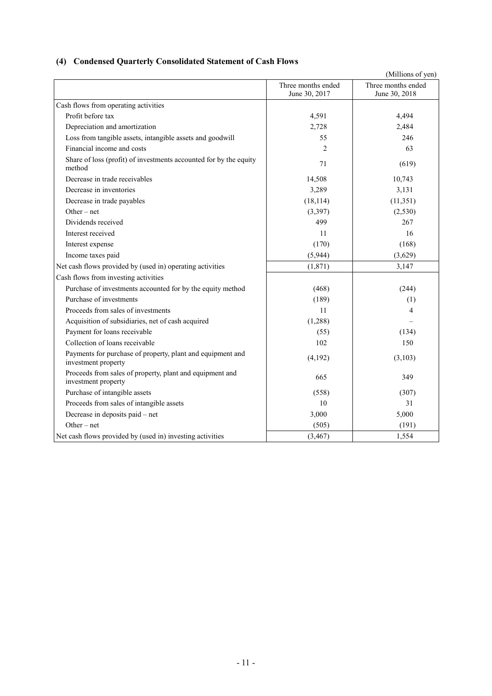# **(4) Condensed Quarterly Consolidated Statement of Cash Flows**

|                                                                                   |                                     | (Millions of yen)                   |
|-----------------------------------------------------------------------------------|-------------------------------------|-------------------------------------|
|                                                                                   | Three months ended<br>June 30, 2017 | Three months ended<br>June 30, 2018 |
| Cash flows from operating activities                                              |                                     |                                     |
| Profit before tax                                                                 | 4,591                               | 4,494                               |
| Depreciation and amortization                                                     | 2,728                               | 2,484                               |
| Loss from tangible assets, intangible assets and goodwill                         | 55                                  | 246                                 |
| Financial income and costs                                                        | $\overline{2}$                      | 63                                  |
| Share of loss (profit) of investments accounted for by the equity<br>method       | 71                                  | (619)                               |
| Decrease in trade receivables                                                     | 14,508                              | 10,743                              |
| Decrease in inventories                                                           | 3,289                               | 3,131                               |
| Decrease in trade payables                                                        | (18, 114)                           | (11, 351)                           |
| $Other-net$                                                                       | (3,397)                             | (2,530)                             |
| Dividends received                                                                | 499                                 | 267                                 |
| Interest received                                                                 | 11                                  | 16                                  |
| Interest expense                                                                  | (170)                               | (168)                               |
| Income taxes paid                                                                 | (5,944)                             | (3,629)                             |
| Net cash flows provided by (used in) operating activities                         | (1,871)                             | 3,147                               |
| Cash flows from investing activities                                              |                                     |                                     |
| Purchase of investments accounted for by the equity method                        | (468)                               | (244)                               |
| Purchase of investments                                                           | (189)                               | (1)                                 |
| Proceeds from sales of investments                                                | 11                                  | 4                                   |
| Acquisition of subsidiaries, net of cash acquired                                 | (1,288)                             |                                     |
| Payment for loans receivable                                                      | (55)                                | (134)                               |
| Collection of loans receivable                                                    | 102                                 | 150                                 |
| Payments for purchase of property, plant and equipment and<br>investment property | (4,192)                             | (3,103)                             |
| Proceeds from sales of property, plant and equipment and<br>investment property   | 665                                 | 349                                 |
| Purchase of intangible assets                                                     | (558)                               | (307)                               |
| Proceeds from sales of intangible assets                                          | 10                                  | 31                                  |
| Decrease in deposits paid – net                                                   | 3,000                               | 5,000                               |
| $Other-net$                                                                       | (505)                               | (191)                               |
| Net cash flows provided by (used in) investing activities                         | (3, 467)                            | 1,554                               |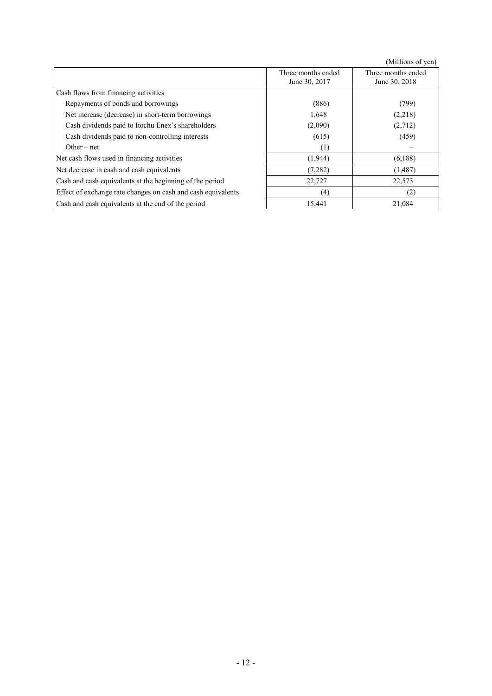(Millions of yen)

|                                                              | Three months ended<br>June 30, 2017 | Three months ended<br>June 30, 2018 |
|--------------------------------------------------------------|-------------------------------------|-------------------------------------|
| Cash flows from financing activities                         |                                     |                                     |
| Repayments of bonds and borrowings                           | (886)                               | (799)                               |
| Net increase (decrease) in short-term borrowings             | 1,648                               | (2,218)                             |
| Cash dividends paid to Itochu Enex's shareholders            | (2,090)                             | (2,712)                             |
| Cash dividends paid to non-controlling interests             | (615)                               | (459)                               |
| Other – net                                                  | (1)                                 |                                     |
| Net cash flows used in financing activities                  | (1,944)                             | (6,188)                             |
| Net decrease in cash and cash equivalents                    | (7,282)                             | (1,487)                             |
| Cash and cash equivalents at the beginning of the period     | 22,727                              | 22,573                              |
| Effect of exchange rate changes on cash and cash equivalents | (4)                                 | (2)                                 |
| Cash and cash equivalents at the end of the period           | 15,441                              | 21,084                              |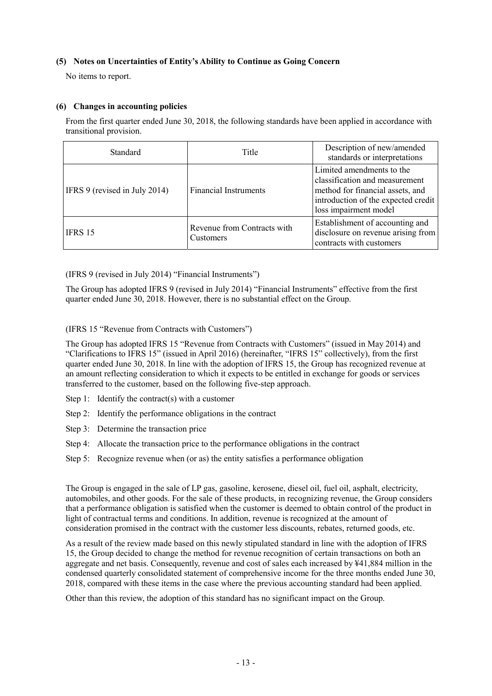### **(5) Notes on Uncertainties of Entity's Ability to Continue as Going Concern**

No items to report.

### **(6) Changes in accounting policies**

From the first quarter ended June 30, 2018, the following standards have been applied in accordance with transitional provision.

| Standard                      | Title                                    | Description of new/amended<br>standards or interpretations                                                                                                      |
|-------------------------------|------------------------------------------|-----------------------------------------------------------------------------------------------------------------------------------------------------------------|
| IFRS 9 (revised in July 2014) | <b>Financial Instruments</b>             | Limited amendments to the<br>classification and measurement<br>method for financial assets, and<br>introduction of the expected credit<br>loss impairment model |
| IFRS 15                       | Revenue from Contracts with<br>Customers | Establishment of accounting and<br>disclosure on revenue arising from<br>contracts with customers                                                               |

(IFRS 9 (revised in July 2014) "Financial Instruments")

The Group has adopted IFRS 9 (revised in July 2014) "Financial Instruments" effective from the first quarter ended June 30, 2018. However, there is no substantial effect on the Group.

(IFRS 15 "Revenue from Contracts with Customers")

The Group has adopted IFRS 15 "Revenue from Contracts with Customers" (issued in May 2014) and "Clarifications to IFRS 15" (issued in April 2016) (hereinafter, "IFRS 15" collectively), from the first quarter ended June 30, 2018. In line with the adoption of IFRS 15, the Group has recognized revenue at an amount reflecting consideration to which it expects to be entitled in exchange for goods or services transferred to the customer, based on the following five-step approach.

- Step 1: Identify the contract(s) with a customer
- Step 2: Identify the performance obligations in the contract
- Step 3: Determine the transaction price
- Step 4: Allocate the transaction price to the performance obligations in the contract
- Step 5: Recognize revenue when (or as) the entity satisfies a performance obligation

The Group is engaged in the sale of LP gas, gasoline, kerosene, diesel oil, fuel oil, asphalt, electricity, automobiles, and other goods. For the sale of these products, in recognizing revenue, the Group considers that a performance obligation is satisfied when the customer is deemed to obtain control of the product in light of contractual terms and conditions. In addition, revenue is recognized at the amount of consideration promised in the contract with the customer less discounts, rebates, returned goods, etc.

As a result of the review made based on this newly stipulated standard in line with the adoption of IFRS 15, the Group decided to change the method for revenue recognition of certain transactions on both an aggregate and net basis. Consequently, revenue and cost of sales each increased by ¥41,884 million in the condensed quarterly consolidated statement of comprehensive income for the three months ended June 30, 2018, compared with these items in the case where the previous accounting standard had been applied.

Other than this review, the adoption of this standard has no significant impact on the Group.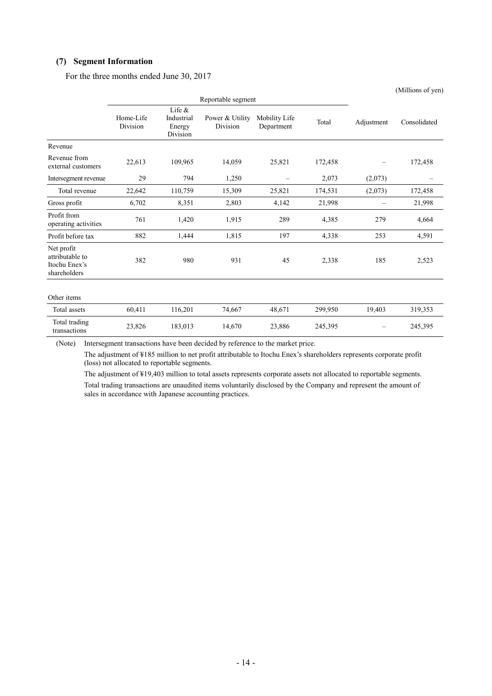#### **(7) Segment Information**

For the three months ended June 30, 2017

|                                                                |                       |                                               |                             |                             |         |                          | (Millions of yen) |
|----------------------------------------------------------------|-----------------------|-----------------------------------------------|-----------------------------|-----------------------------|---------|--------------------------|-------------------|
|                                                                |                       |                                               | Reportable segment          |                             |         |                          |                   |
|                                                                | Home-Life<br>Division | Life $\&$<br>Industrial<br>Energy<br>Division | Power & Utility<br>Division | Mobility Life<br>Department | Total   | Adjustment               | Consolidated      |
| Revenue                                                        |                       |                                               |                             |                             |         |                          |                   |
| Revenue from<br>external customers                             | 22,613                | 109,965                                       | 14,059                      | 25,821                      | 172,458 |                          | 172,458           |
| Intersegment revenue                                           | 29                    | 794                                           | 1,250                       | $\overline{\phantom{m}}$    | 2,073   | (2,073)                  |                   |
| Total revenue                                                  | 22,642                | 110,759                                       | 15,309                      | 25,821                      | 174,531 | (2,073)                  | 172,458           |
| Gross profit                                                   | 6,702                 | 8,351                                         | 2,803                       | 4,142                       | 21,998  | $\overline{\phantom{0}}$ | 21,998            |
| Profit from<br>operating activities                            | 761                   | 1,420                                         | 1,915                       | 289                         | 4,385   | 279                      | 4,664             |
| Profit before tax                                              | 882                   | 1,444                                         | 1,815                       | 197                         | 4,338   | 253                      | 4,591             |
| Net profit<br>attributable to<br>Itochu Enex's<br>shareholders | 382                   | 980                                           | 931                         | 45                          | 2,338   | 185                      | 2,523             |
| Other items                                                    |                       |                                               |                             |                             |         |                          |                   |
| Total assets                                                   | 60,411                | 116,201                                       | 74,667                      | 48,671                      | 299,950 | 19,403                   | 319,353           |
| Total trading<br>transactions                                  | 23,826                | 183,013                                       | 14,670                      | 23,886                      | 245,395 |                          | 245,395           |

(Note) Intersegment transactions have been decided by reference to the market price.

The adjustment of ¥185 million to net profit attributable to Itochu Enex's shareholders represents corporate profit (loss) not allocated to reportable segments.

The adjustment of ¥19,403 million to total assets represents corporate assets not allocated to reportable segments. Total trading transactions are unaudited items voluntarily disclosed by the Company and represent the amount of sales in accordance with Japanese accounting practices.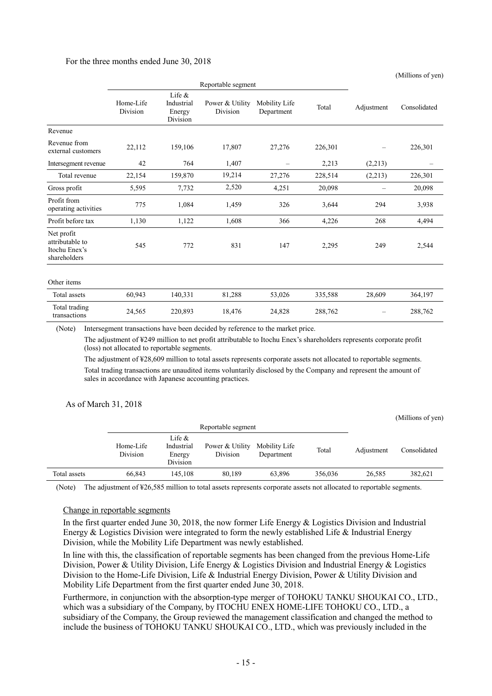#### For the three months ended June 30, 2018

|                                                                |                       |                                               |                             |                             |         |                   | (Millions of yen) |
|----------------------------------------------------------------|-----------------------|-----------------------------------------------|-----------------------------|-----------------------------|---------|-------------------|-------------------|
|                                                                |                       |                                               | Reportable segment          |                             |         |                   |                   |
|                                                                | Home-Life<br>Division | Life $\&$<br>Industrial<br>Energy<br>Division | Power & Utility<br>Division | Mobility Life<br>Department | Total   | Adjustment        | Consolidated      |
| Revenue                                                        |                       |                                               |                             |                             |         |                   |                   |
| Revenue from<br>external customers                             | 22,112                | 159,106                                       | 17,807                      | 27,276                      | 226,301 | $\qquad \qquad -$ | 226,301           |
| Intersegment revenue                                           | 42                    | 764                                           | 1,407                       | $\overline{\phantom{m}}$    | 2,213   | (2,213)           |                   |
| Total revenue                                                  | 22,154                | 159,870                                       | 19,214                      | 27,276                      | 228,514 | (2,213)           | 226,301           |
| Gross profit                                                   | 5,595                 | 7,732                                         | 2,520                       | 4,251                       | 20,098  | $\equiv$          | 20,098            |
| Profit from<br>operating activities                            | 775                   | 1,084                                         | 1,459                       | 326                         | 3,644   | 294               | 3,938             |
| Profit before tax                                              | 1,130                 | 1,122                                         | 1,608                       | 366                         | 4,226   | 268               | 4,494             |
| Net profit<br>attributable to<br>Itochu Enex's<br>shareholders | 545                   | 772                                           | 831                         | 147                         | 2,295   | 249               | 2,544             |
| Other items                                                    |                       |                                               |                             |                             |         |                   |                   |
| Total assets                                                   | 60,943                | 140,331                                       | 81,288                      | 53,026                      | 335,588 | 28,609            | 364,197           |
| Total trading<br>transactions                                  | 24,565                | 220,893                                       | 18,476                      | 24,828                      | 288,762 |                   | 288,762           |

(Note) Intersegment transactions have been decided by reference to the market price.

The adjustment of ¥249 million to net profit attributable to Itochu Enex's shareholders represents corporate profit (loss) not allocated to reportable segments.

The adjustment of ¥28,609 million to total assets represents corporate assets not allocated to reportable segments. Total trading transactions are unaudited items voluntarily disclosed by the Company and represent the amount of sales in accordance with Japanese accounting practices.

#### As of March 31, 2018

|              |                       |                                               |                             |                             |         |            | (Millions of yen) |
|--------------|-----------------------|-----------------------------------------------|-----------------------------|-----------------------------|---------|------------|-------------------|
|              |                       |                                               | Reportable segment          |                             |         |            |                   |
|              | Home-Life<br>Division | Life $\&$<br>Industrial<br>Energy<br>Division | Power & Utility<br>Division | Mobility Life<br>Department | Total   | Adjustment | Consolidated      |
| Total assets | 66.843                | 145.108                                       | 80.189                      | 63,896                      | 356,036 | 26.585     | 382,621           |

(Note) The adjustment of ¥26,585 million to total assets represents corporate assets not allocated to reportable segments.

#### Change in reportable segments

In the first quarter ended June 30, 2018, the now former Life Energy & Logistics Division and Industrial Energy  $\&$  Logistics Division were integrated to form the newly established Life  $\&$  Industrial Energy Division, while the Mobility Life Department was newly established.

In line with this, the classification of reportable segments has been changed from the previous Home-Life Division, Power & Utility Division, Life Energy & Logistics Division and Industrial Energy & Logistics Division to the Home-Life Division, Life & Industrial Energy Division, Power & Utility Division and Mobility Life Department from the first quarter ended June 30, 2018.

Furthermore, in conjunction with the absorption-type merger of TOHOKU TANKU SHOUKAI CO., LTD., which was a subsidiary of the Company, by ITOCHU ENEX HOME-LIFE TOHOKU CO., LTD., a subsidiary of the Company, the Group reviewed the management classification and changed the method to include the business of TOHOKU TANKU SHOUKAI CO., LTD., which was previously included in the